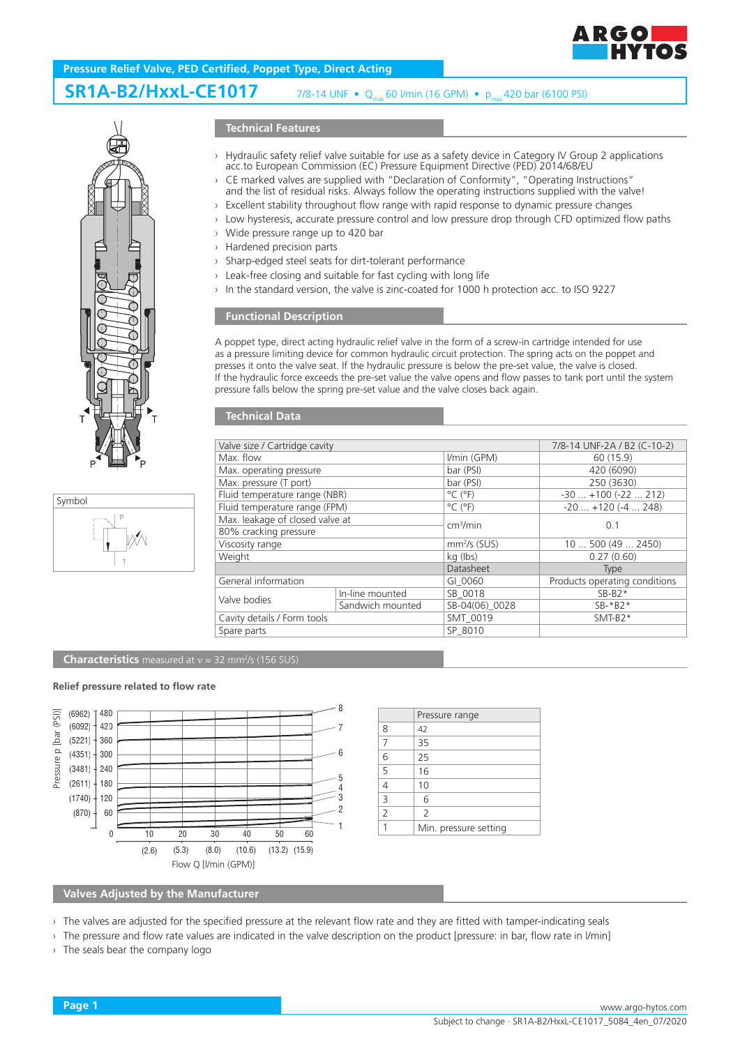

# **Pressure Relief Valve, PED Certified, Poppet Type, Direct Acting**

#### **SR1A-B2/HxxL-CE1017** 7/8-14 UNF •  $Q_{\text{max}}$  60 l/min (16 GPM) •  $p_{\text{max}}$  420 bar (6100 PSI)





#### **Technical Features**

- › Hydraulic safety relief valve suitable for use as a safety device in Category IV Group 2 applications acc.to European Commission (EC) Pressure Equipment Directive (PED) 2014/68/EU
- CE marked valves are supplied with "Declaration of Conformity", "Operating Instructions" and the list of residual risks. Always follow the operating instructions supplied with the valve!
- › Excellent stability throughout flow range with rapid response to dynamic pressure changes
- › Low hysteresis, accurate pressure control and low pressure drop through CFD optimized flow paths
- › Wide pressure range up to 420 bar
- › Hardened precision parts
- › Sharp-edged steel seats for dirt-tolerant performance
- › Leak-free closing and suitable for fast cycling with long life
- › In the standard version, the valve is zinc-coated for 1000 h protection acc. to ISO 9227

#### **Functional Description**

A poppet type, direct acting hydraulic relief valve in the form of a screw-in cartridge intended for use as a pressure limiting device for common hydraulic circuit protection. The spring acts on the poppet and presses it onto the valve seat. If the hydraulic pressure is below the pre-set value, the valve is closed. If the hydraulic force exceeds the pre-set value the valve opens and flow passes to tank port until the system pressure falls below the spring pre-set value and the valve closes back again.

### **Technical Data**

| Valve size / Cartridge cavity   |                  |                              | 7/8-14 UNF-2A / B2 (C-10-2)   |
|---------------------------------|------------------|------------------------------|-------------------------------|
| Max. flow                       |                  | I/min (GPM)                  | 60 (15.9)                     |
| Max. operating pressure         |                  | bar (PSI)                    | 420 (6090)                    |
| Max. pressure (T port)          |                  | bar (PSI)                    | 250 (3630)                    |
| Fluid temperature range (NBR)   |                  | $^{\circ}$ C ( $^{\circ}$ F) | $-30+100(-22212)$             |
| Fluid temperature range (FPM)   |                  | $^{\circ}$ C ( $^{\circ}$ F) | $-20$ $+120$ ( $-4$ 248)      |
| Max. leakage of closed valve at |                  | cm <sup>3</sup> /min         | 0.1                           |
| 80% cracking pressure           |                  |                              |                               |
| Viscosity range                 |                  | $mm2/s$ (SUS)                | 10500(492450)                 |
| Weight                          |                  | kg (lbs)                     | 0.27(0.60)                    |
|                                 |                  | Datasheet                    | <b>Type</b>                   |
| General information             |                  | GI 0060                      | Products operating conditions |
| Valve bodies                    | In-line mounted  | SB 0018                      | $SB-B2*$                      |
|                                 | Sandwich mounted | SB-04(06) 0028               | $SB-*B2*$                     |
| Cavity details / Form tools     |                  | SMT 0019                     | $SMT-B2*$                     |
| Spare parts                     |                  | SP 8010                      |                               |
|                                 |                  |                              |                               |

#### **Characteristics** measured at v = 32 mm<sup>2</sup>/s (156 SUS)

#### **Relief pressure related to flow rate**



|                | Pressure range           |
|----------------|--------------------------|
| 8              | 42                       |
| 7              | 35                       |
| 6              | 25                       |
| $\overline{5}$ | 16                       |
| 4              | 10                       |
| 3              | 6                        |
| $\overline{2}$ | $\overline{\phantom{a}}$ |
|                | Min. pressure setting    |

#### **Valves Adjusted by the Manufacturer**

- › The valves are adjusted for the specified pressure at the relevant flow rate and they are fitted with tamper-indicating seals
- › The pressure and flow rate values are indicated in the valve description on the product [pressure: in bar, flow rate in l/min]

› The seals bear the company logo